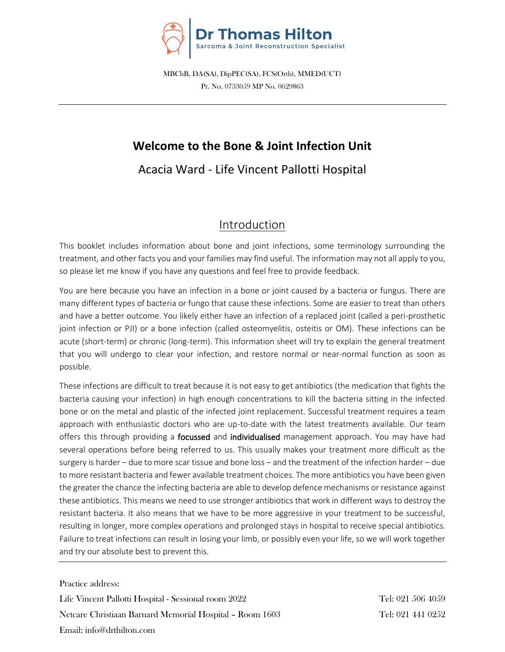

MBChB, DA(SA), DipPEC(SA), FCS(Orth), MMED(UCT) Pr. No. 0733059 MP No. 0629863

# **Welcome to the Bone & Joint Infection Unit**

Acacia Ward - Life Vincent Pallotti Hospital

# Introduction

This booklet includes information about bone and joint infections, some terminology surrounding the treatment, and other facts you and your families may find useful. The information may not all apply to you, so please let me know if you have any questions and feel free to provide feedback.

You are here because you have an infection in a bone or joint caused by a bacteria or fungus. There are many different types of bacteria or fungo that cause these infections. Some are easier to treat than others and have a better outcome. You likely either have an infection of a replaced joint (called a peri-prosthetic joint infection or PJI) or a bone infection (called osteomyelitis, osteitis or OM). These infections can be acute (short-term) or chronic (long-term). This information sheet will try to explain the general treatment that you will undergo to clear your infection, and restore normal or near-normal function as soon as possible.

These infections are difficult to treat because it is not easy to get antibiotics (the medication that fights the bacteria causing your infection) in high enough concentrations to kill the bacteria sitting in the infected bone or on the metal and plastic of the infected joint replacement. Successful treatment requires a team approach with enthusiastic doctors who are up-to-date with the latest treatments available. Our team offers this through providing a focussed and individualised management approach. You may have had several operations before being referred to us. This usually makes your treatment more difficult as the surgery is harder – due to more scar tissue and bone loss – and the treatment of the infection harder – due to more resistant bacteria and fewer available treatment choices. The more antibiotics you have been given the greater the chance the infecting bacteria are able to develop defence mechanisms or resistance against these antibiotics. This means we need to use stronger antibiotics that work in different ways to destroy the resistant bacteria. It also means that we have to be more aggressive in your treatment to be successful, resulting in longer, more complex operations and prolonged stays in hospital to receive special antibiotics. Failure to treat infections can result in losing your limb, or possibly even your life, so we will work together and try our absolute best to prevent this.

Practice address:

Life Vincent Pallotti Hospital - Sessional room 2022 Tel: 021 506 4059 Netcare Christiaan Barnard Memorial Hospital – Room 1603 Tel: 021 441 0252 Email: info@drthilton.com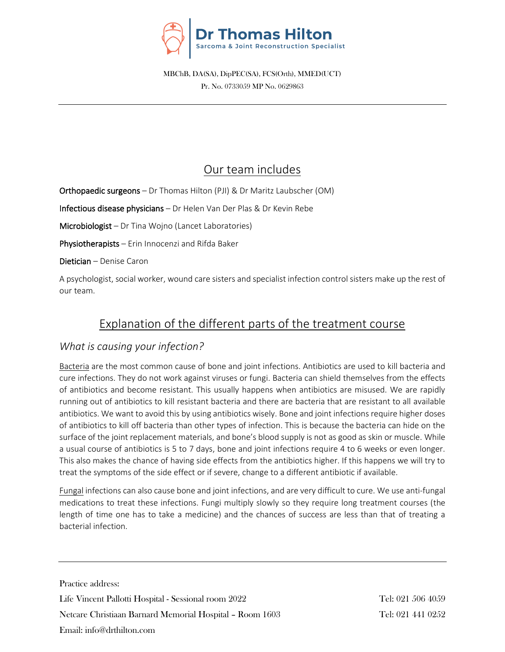

MBChB, DA(SA), DipPEC(SA), FCS(Orth), MMED(UCT) Pr. No. 0733059 MP No. 0629863

# Our team includes

Orthopaedic surgeons – Dr Thomas Hilton (PJI) & Dr Maritz Laubscher (OM)

Infectious disease physicians – Dr Helen Van Der Plas & Dr Kevin Rebe

Microbiologist – Dr Tina Wojno (Lancet Laboratories)

Physiotherapists – Erin Innocenzi and Rifda Baker

Dietician – Denise Caron

A psychologist, social worker, wound care sisters and specialist infection control sisters make up the rest of our team.

# Explanation of the different parts of the treatment course

## *What is causing your infection?*

Bacteria are the most common cause of bone and joint infections. Antibiotics are used to kill bacteria and cure infections. They do not work against viruses or fungi. Bacteria can shield themselves from the effects of antibiotics and become resistant. This usually happens when antibiotics are misused. We are rapidly running out of antibiotics to kill resistant bacteria and there are bacteria that are resistant to all available antibiotics. We want to avoid this by using antibiotics wisely. Bone and joint infections require higher doses of antibiotics to kill off bacteria than other types of infection. This is because the bacteria can hide on the surface of the joint replacement materials, and bone's blood supply is not as good as skin or muscle. While a usual course of antibiotics is 5 to 7 days, bone and joint infections require 4 to 6 weeks or even longer. This also makes the chance of having side effects from the antibiotics higher. If this happens we will try to treat the symptoms of the side effect or if severe, change to a different antibiotic if available.

Fungal infections can also cause bone and joint infections, and are very difficult to cure. We use anti-fungal medications to treat these infections. Fungi multiply slowly so they require long treatment courses (the length of time one has to take a medicine) and the chances of success are less than that of treating a bacterial infection.

Practice address: Life Vincent Pallotti Hospital - Sessional room 2022 Tel: 021 506 4059 Netcare Christiaan Barnard Memorial Hospital – Room 1603 Tel: 021 441 0252 Email: info@drthilton.com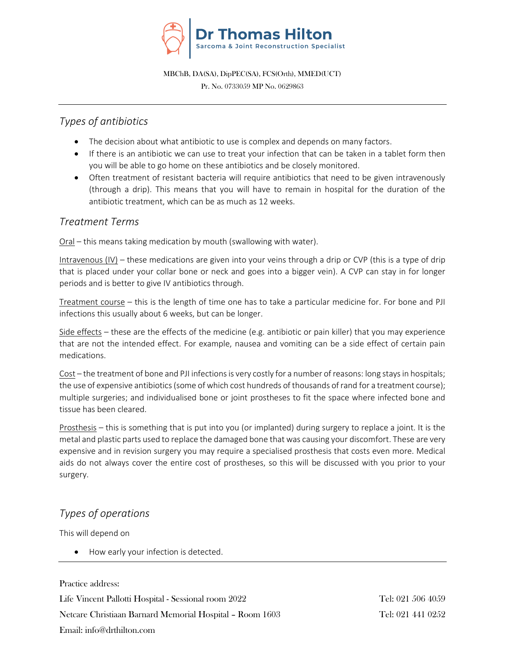

Pr. No. 0733059 MP No. 0629863

## *Types of antibiotics*

- The decision about what antibiotic to use is complex and depends on many factors.
- If there is an antibiotic we can use to treat your infection that can be taken in a tablet form then you will be able to go home on these antibiotics and be closely monitored.
- Often treatment of resistant bacteria will require antibiotics that need to be given intravenously (through a drip). This means that you will have to remain in hospital for the duration of the antibiotic treatment, which can be as much as 12 weeks.

## *Treatment Terms*

Oral – this means taking medication by mouth (swallowing with water).

Intravenous (IV) – these medications are given into your veins through a drip or CVP (this is a type of drip that is placed under your collar bone or neck and goes into a bigger vein). A CVP can stay in for longer periods and is better to give IV antibiotics through.

Treatment course – this is the length of time one has to take a particular medicine for. For bone and PJI infections this usually about 6 weeks, but can be longer.

Side effects – these are the effects of the medicine (e.g. antibiotic or pain killer) that you may experience that are not the intended effect. For example, nausea and vomiting can be a side effect of certain pain medications.

Cost – the treatment of bone and PJI infections is very costly for a number of reasons: long stays in hospitals; the use of expensive antibiotics (some of which cost hundreds of thousands of rand for a treatment course); multiple surgeries; and individualised bone or joint prostheses to fit the space where infected bone and tissue has been cleared.

Prosthesis – this is something that is put into you (or implanted) during surgery to replace a joint. It is the metal and plastic parts used to replace the damaged bone that was causing your discomfort. These are very expensive and in revision surgery you may require a specialised prosthesis that costs even more. Medical aids do not always cover the entire cost of prostheses, so this will be discussed with you prior to your surgery.

# *Types of operations*

This will depend on

• How early your infection is detected.

Practice address: Life Vincent Pallotti Hospital - Sessional room 2022 Tel: 021 506 4059 Netcare Christiaan Barnard Memorial Hospital – Room 1603 Tel: 021 441 0252 Email: info@drthilton.com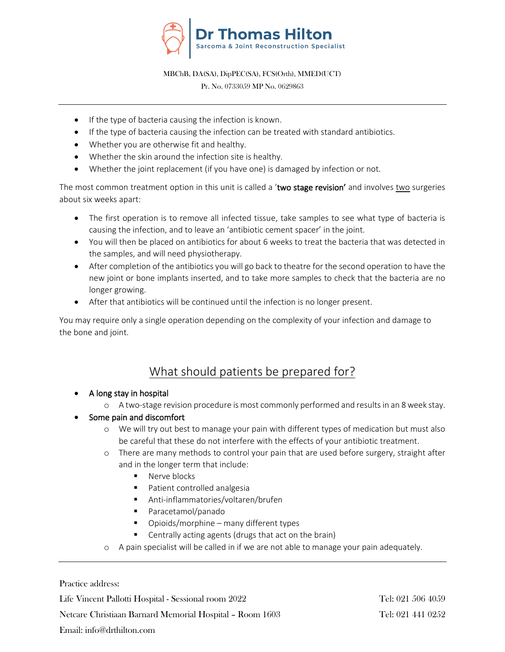

Pr. No. 0733059 MP No. 0629863

- If the type of bacteria causing the infection is known.
- If the type of bacteria causing the infection can be treated with standard antibiotics.
- Whether you are otherwise fit and healthy.
- Whether the skin around the infection site is healthy.
- Whether the joint replacement (if you have one) is damaged by infection or not.

The most common treatment option in this unit is called a 'two stage revision' and involves two surgeries about six weeks apart:

- The first operation is to remove all infected tissue, take samples to see what type of bacteria is causing the infection, and to leave an 'antibiotic cement spacer' in the joint.
- You will then be placed on antibiotics for about 6 weeks to treat the bacteria that was detected in the samples, and will need physiotherapy.
- After completion of the antibiotics you will go back to theatre for the second operation to have the new joint or bone implants inserted, and to take more samples to check that the bacteria are no longer growing.
- After that antibiotics will be continued until the infection is no longer present.

You may require only a single operation depending on the complexity of your infection and damage to the bone and joint.

# What should patients be prepared for?

- A long stay in hospital
	- o A two-stage revision procedure is most commonly performed and resultsin an 8 week stay.

## • Some pain and discomfort

- o We will try out best to manage your pain with different types of medication but must also be careful that these do not interfere with the effects of your antibiotic treatment.
- o There are many methods to control your pain that are used before surgery, straight after and in the longer term that include:
	- Nerve blocks
	- Patient controlled analgesia
	- Anti-inflammatories/voltaren/brufen
	- Paracetamol/panado
	- Opioids/morphine many different types
	- Centrally acting agents (drugs that act on the brain)
- o A pain specialist will be called in if we are not able to manage your pain adequately.

Practice address:

Life Vincent Pallotti Hospital - Sessional room 2022 Tel: 021 506 4059

Netcare Christiaan Barnard Memorial Hospital – Room 1603 Tel: 021 441 0252

### Email: info@drthilton.com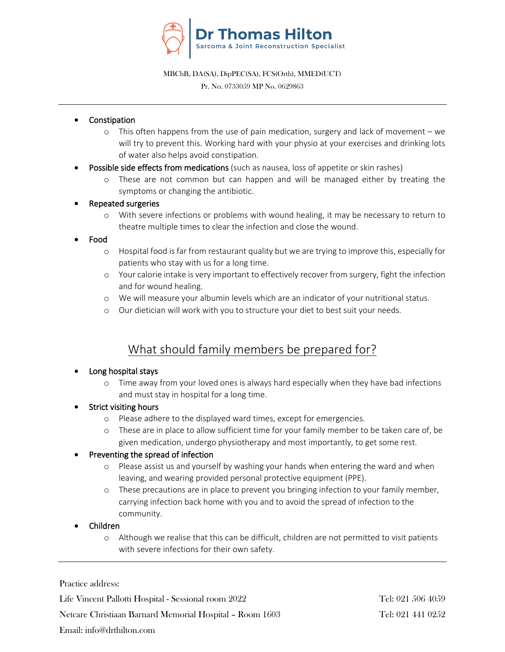

Pr. No. 0733059 MP No. 0629863

- **Constipation** 
	- o This often happens from the use of pain medication, surgery and lack of movement we will try to prevent this. Working hard with your physio at your exercises and drinking lots of water also helps avoid constipation.
- Possible side effects from medications (such as nausea, loss of appetite or skin rashes)
	- o These are not common but can happen and will be managed either by treating the symptoms or changing the antibiotic.
- Repeated surgeries
	- o With severe infections or problems with wound healing, it may be necessary to return to theatre multiple times to clear the infection and close the wound.
- Food
	- o Hospital food is far from restaurant quality but we are trying to improve this, especially for patients who stay with us for a long time.
	- o Your calorie intake is very important to effectively recover from surgery, fight the infection and for wound healing.
	- o We will measure your albumin levels which are an indicator of your nutritional status.
	- o Our dietician will work with you to structure your diet to best suit your needs.

# What should family members be prepared for?

### • Long hospital stays

- o Time away from your loved ones is always hard especially when they have bad infections and must stay in hospital for a long time.
- **Strict visiting hours** 
	- o Please adhere to the displayed ward times, except for emergencies.
	- o These are in place to allow sufficient time for your family member to be taken care of, be given medication, undergo physiotherapy and most importantly, to get some rest.

### • Preventing the spread of infection

- o Please assist us and yourself by washing your hands when entering the ward and when leaving, and wearing provided personal protective equipment (PPE).
- o These precautions are in place to prevent you bringing infection to your family member, carrying infection back home with you and to avoid the spread of infection to the community.
- Children
	- o Although we realise that this can be difficult, children are not permitted to visit patients with severe infections for their own safety.

Practice address:

Life Vincent Pallotti Hospital - Sessional room 2022 Tel: 021 506 4059

Netcare Christiaan Barnard Memorial Hospital – Room 1603 Tel: 021 441 0252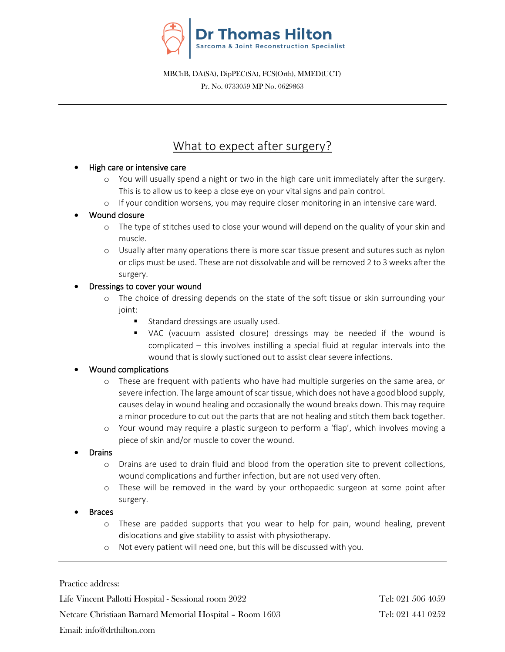

Pr. No. 0733059 MP No. 0629863

# What to expect after surgery?

### • High care or intensive care

- o You will usually spend a night or two in the high care unit immediately after the surgery. This is to allow us to keep a close eye on your vital signs and pain control.
- o If your condition worsens, you may require closer monitoring in an intensive care ward.

### • Wound closure

- o The type of stitches used to close your wound will depend on the quality of your skin and muscle.
- o Usually after many operations there is more scar tissue present and sutures such as nylon or clips must be used. These are not dissolvable and will be removed 2 to 3 weeks after the surgery.

### • Dressings to cover your wound

- o The choice of dressing depends on the state of the soft tissue or skin surrounding your joint:
	- Standard dressings are usually used.
	- VAC (vacuum assisted closure) dressings may be needed if the wound is complicated – this involves instilling a special fluid at regular intervals into the wound that is slowly suctioned out to assist clear severe infections.

### • Wound complications

- o These are frequent with patients who have had multiple surgeries on the same area, or severe infection. The large amount of scar tissue, which does not have a good blood supply, causes delay in wound healing and occasionally the wound breaks down. This may require a minor procedure to cut out the parts that are not healing and stitch them back together.
- o Your wound may require a plastic surgeon to perform a 'flap', which involves moving a piece of skin and/or muscle to cover the wound.
- **Drains** 
	- o Drains are used to drain fluid and blood from the operation site to prevent collections, wound complications and further infection, but are not used very often.
	- o These will be removed in the ward by your orthopaedic surgeon at some point after surgery.
- **Braces** 
	- o These are padded supports that you wear to help for pain, wound healing, prevent dislocations and give stability to assist with physiotherapy.
	- o Not every patient will need one, but this will be discussed with you.

Practice address:

Life Vincent Pallotti Hospital - Sessional room 2022 Tel: 021 506 4059

Netcare Christiaan Barnard Memorial Hospital – Room 1603 Tel: 021 441 0252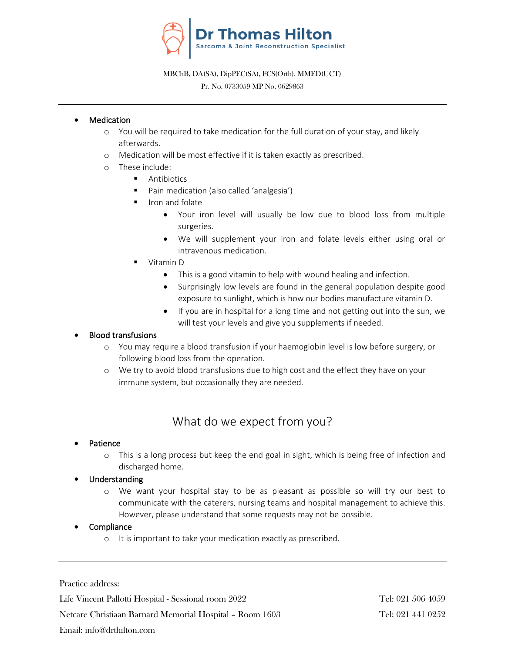

#### Pr. No. 0733059 MP No. 0629863

### **Medication**

- o You will be required to take medication for the full duration of your stay, and likely afterwards.
- o Medication will be most effective if it is taken exactly as prescribed.
- o These include:
	- Antibiotics
	- Pain medication (also called 'analgesia')
	- Iron and folate
		- Your iron level will usually be low due to blood loss from multiple surgeries.
		- We will supplement your iron and folate levels either using oral or intravenous medication.
	- Vitamin D
		- This is a good vitamin to help with wound healing and infection.
		- Surprisingly low levels are found in the general population despite good exposure to sunlight, which is how our bodies manufacture vitamin D.
		- If you are in hospital for a long time and not getting out into the sun, we will test your levels and give you supplements if needed.

### • Blood transfusions

- o You may require a blood transfusion if your haemoglobin level is low before surgery, or following blood loss from the operation.
- o We try to avoid blood transfusions due to high cost and the effect they have on your immune system, but occasionally they are needed.

# What do we expect from you?

### **Patience**

o This is a long process but keep the end goal in sight, which is being free of infection and discharged home.

### • Understanding

o We want your hospital stay to be as pleasant as possible so will try our best to communicate with the caterers, nursing teams and hospital management to achieve this. However, please understand that some requests may not be possible.

### **Compliance**

o It is important to take your medication exactly as prescribed.

Practice address:

Life Vincent Pallotti Hospital - Sessional room 2022 Tel: 021 506 4059

Netcare Christiaan Barnard Memorial Hospital – Room 1603 Tel: 021 441 0252